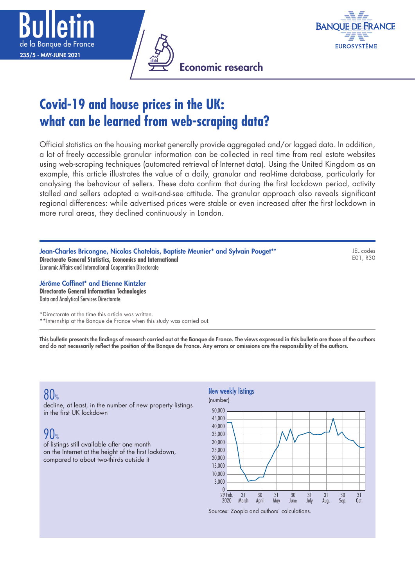





# **Covid-19 and house prices in the UK: what can be learned from web-scraping data?**

Official statistics on the housing market generally provide aggregated and/or lagged data. In addition, a lot of freely accessible granular information can be collected in real time from real estate websites using web-scraping techniques (automated retrieval of Internet data). Using the United Kingdom as an example, this article illustrates the value of a daily, granular and real-time database, particularly for analysing the behaviour of sellers. These data confirm that during the first lockdown period, activity stalled and sellers adopted a wait-and-see attitude. The granular approach also reveals significant regional differences: while advertised prices were stable or even increased after the first lockdown in more rural areas, they declined continuously in London.

Jean-Charles Bricongne, Nicolas Chatelais, Baptiste Meunier\* and Sylvain Pouget\*\* **Directorate General Statistics, Economics and International** Economic Affairs and International Cooperation Directorate

JEL codes E01, R30

#### Jérôme Coffinet\* and Etienne Kintzler **Directorate General Information Technologies**

Data and Analytical Services Directorate

\*Directorate at the time this article was written.

\*\*Internship at the Banque de France when this study was carried out.

This bulletin presents the findings of research carried out at the Banque de France. The views expressed in this bulletin are those of the authors and do not necessarily reflect the position of the Banque de France. Any errors or omissions are the responsibility of the authors.

# 80%

decline, at least, in the number of new property listings in the first UK lockdown

# $90<sub>%</sub>$

of listings still available after one month on the Internet at the height of the first lockdown, compared to about two-thirds outside it



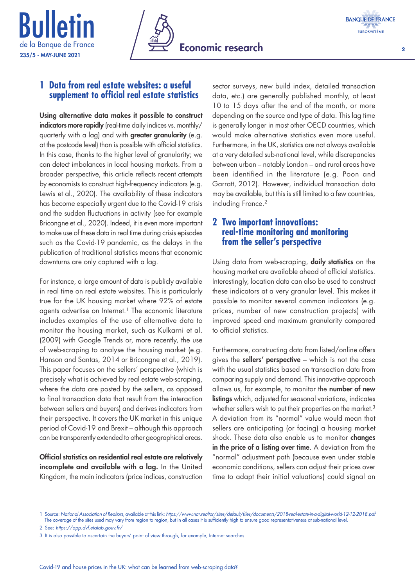





## **1 Data from real estate websites: a useful supplement to official real estate statistics**

Using alternative data makes it possible to construct indicators more rapidly (real-time daily indices vs. monthly/ quarterly with a lag) and with greater granularity (e.g. at the postcode level) than is possible with official statistics. In this case, thanks to the higher level of granularity; we can detect imbalances in local housing markets. From a broader perspective, this article reflects recent attempts by economists to construct high-frequency indicators (e.g. Lewis et al., 2020). The availability of these indicators has become especially urgent due to the Covid-19 crisis and the sudden fluctuations in activity (see for example Bricongne et al., 2020). Indeed, it is even more important to make use of these data in real time during crisis episodes such as the Covid-19 pandemic, as the delays in the publication of traditional statistics means that economic downturns are only captured with a lag.

For instance, a large amount of data is publicly available in real time on real estate websites. This is particularly true for the UK housing market where 92% of estate agents advertise on Internet.<sup>1</sup> The economic literature includes examples of the use of alternative data to monitor the housing market, such as Kulkarni et al. (2009) with Google Trends or, more recently, the use of web-scraping to analyse the housing market (e.g. Hanson and Santas, 2014 or Bricongne et al., 2019). This paper focuses on the sellers' perspective (which is precisely what is achieved by real estate web-scraping, where the data are posted by the sellers, as opposed to final transaction data that result from the interaction between sellers and buyers) and derives indicators from their perspective. It covers the UK market in this unique period of Covid-19 and Brexit – although this approach can be transparently extended to other geographical areas.

Official statistics on residential real estate are relatively incomplete and available with a lag. In the United Kingdom, the main indicators (price indices, construction

sector surveys, new build index, detailed transaction data, etc.) are generally published monthly, at least 10 to 15 days after the end of the month, or more depending on the source and type of data. This lag time is generally longer in most other OECD countries, which would make alternative statistics even more useful. Furthermore, in the UK, statistics are not always available at a very detailed sub-national level, while discrepancies between urban – notably London – and rural areas have been identified in the literature (e.g. Poon and Garratt, 2012). However, individual transaction data may be available, but this is still limited to a few countries, including France.2

# **2 Two important innovations: real-time monitoring and monitoring from the seller's perspective**

Using data from web-scraping, daily statistics on the housing market are available ahead of official statistics. Interestingly, location data can also be used to construct these indicators at a very granular level. This makes it possible to monitor several common indicators (e.g. prices, number of new construction projects) with improved speed and maximum granularity compared to official statistics.

Furthermore, constructing data from listed/online offers gives the **sellers' perspective** – which is not the case with the usual statistics based on transaction data from comparing supply and demand. This innovative approach allows us, for example, to monitor the **number of new** listings which, adjusted for seasonal variations, indicates whether sellers wish to put their properties on the market.<sup>3</sup> A deviation from its "normal" value would mean that sellers are anticipating (or facing) a housing market shock. These data also enable us to monitor **changes** in the price of a listing over time. A deviation from the "normal" adjustment path (because even under stable economic conditions, sellers can adjust their prices over time to adapt their initial valuations) could signal an

<sup>1</sup> Source: *National Association of Realtors*, available at this link: *<https://www.nar.realtor/sites/default/files/documents/2018-real-estate-in-a-digital-world-12-12-2018.pdf>* The coverage of the sites used may vary from region to region, but in all cases it is sufficiently high to ensure good representativeness at sub-national level

<sup>2</sup> See: *<https://app.dvf.etalab.gouv.fr/>*

<sup>3</sup> It is also possible to ascertain the buyers' point of view through, for example, Internet searches.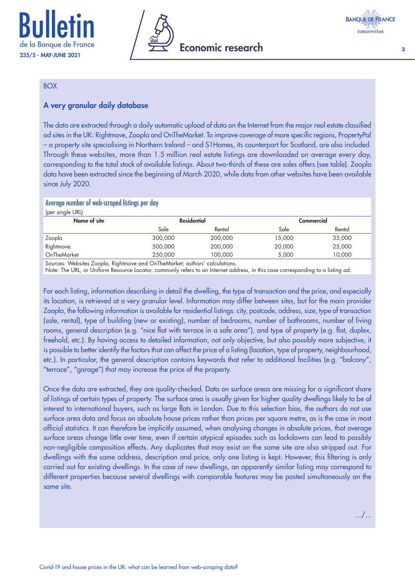



3

#### BOX

### A very granular daily database

The data are extracted through a daily automatic upload of data on the Internet from the major real estate classified ad sites in the UK: Rightmove, Zoopla and OnTheMarket. To improve coverage of more specific regions, PropertyPal – a property site specialising in Northern Ireland – and S1Homes, its counterpart for Scotland, are also included. Through these websites, more than 1.5 million real estate listings are downloaded on average every day, corresponding to the total stock of available listings. About two-thirds of these are sales offers (see table). Zoopla data have been extracted since the beginning of March 2020, while data from other websites have been available since July 2020.

#### Average number of web-scraped listings per day

| (per single URL) |                    |         |            |        |
|------------------|--------------------|---------|------------|--------|
| Name of site     | <b>Residential</b> |         | Commercial |        |
|                  | Sale               | Rental  | Sale       | Rental |
| Zoopla           | 300,000            | 200,000 | 15,000     | 35,000 |
| Rightmove        | 500,000            | 200,000 | 20,000     | 25,000 |
| OnTheMarket      | 250,000            | 100.000 | 5.000      | 10.000 |
| .                | .                  |         |            |        |

Sources: Websites Zoopla, Rightmove and OnTheMarket; authors' calculations.

Note: The URL, or Uniform Resource Locator, commonly refers to an Internet address, in this case corresponding to a listing ad.

For each listing, information describing in detail the dwelling, the type of transaction and the price, and especially its location, is retrieved at a very granular level. Information may differ between sites, but for the main provider Zoopla, the following information is available for residential listings: city, postcode, address, size, type of transaction (sale, rental), type of building (new or existing), number of bedrooms, number of bathrooms, number of living rooms, general description (e.g. "nice flat with terrace in a safe area"), and type of property (e.g. flat, duplex, freehold, etc.). By having access to detailed information, not only objective, but also possibly more subjective, it is possible to better identify the factors that can affect the price of a listing (location, type of property, neighbourhood, etc.). In particular, the general description contains keywords that refer to additional facilities (e.g. "balcony", "terrace", "garage") that may increase the price of the property.

Once the data are extracted, they are quality-checked. Data on surface areas are missing for a significant share of listings of certain types of property. The surface area is usually given for higher quality dwellings likely to be of interest to international buyers, such as large flats in London. Due to this selection bias, the authors do not use surface area data and focus on absolute house prices rather than prices per square metre, as is the case in most official statistics. It can therefore be implicitly assumed, when analysing changes in absolute prices, that average surface areas change little over time, even if certain atypical episodes such as lockdowns can lead to possibly non-negligible composition effects. Any duplicates that may exist on the same site are also stripped out. For dwellings with the same address, description and price, only one listing is kept. However, this filtering is only carried out for existing dwellings. In the case of new dwellings, an apparently similar listing may correspond to different properties because several dwellings with comparable features may be posted simultaneously on the same site.

.../...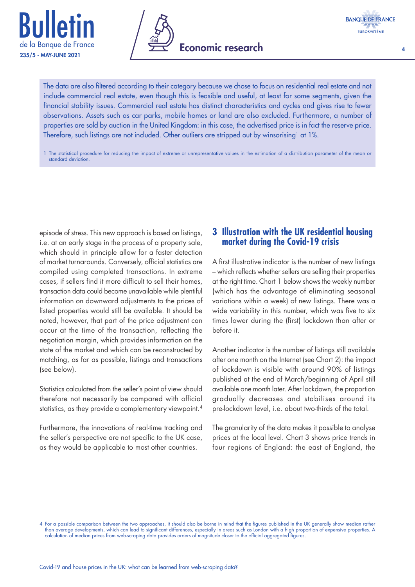





The data are also filtered according to their category because we chose to focus on residential real estate and not include commercial real estate, even though this is feasible and useful, at least for some segments, given the financial stability issues. Commercial real estate has distinct characteristics and cycles and gives rise to fewer observations. Assets such as car parks, mobile homes or land are also excluded. Furthermore, a number of properties are sold by auction in the United Kingdom: in this case, the advertised price is in fact the reserve price. Therefore, such listings are not included. Other outliers are stripped out by winsorising<sup>1</sup> at 1%.

1 The statistical procedure for reducing the impact of extreme or unrepresentative values in the estimation of a distribution parameter of the mean or standard deviation.

episode of stress. This new approach is based on listings, i.e. at an early stage in the process of a property sale, which should in principle allow for a faster detection of market turnarounds. Conversely, official statistics are compiled using completed transactions. In extreme cases, if sellers find it more difficult to sell their homes, transaction data could become unavailable while plentiful information on downward adjustments to the prices of listed properties would still be available. It should be noted, however, that part of the price adjustment can occur at the time of the transaction, reflecting the negotiation margin, which provides information on the state of the market and which can be reconstructed by matching, as far as possible, listings and transactions (see below).

Statistics calculated from the seller's point of view should therefore not necessarily be compared with official statistics, as they provide a complementary viewpoint.<sup>4</sup>

Furthermore, the innovations of real-time tracking and the seller's perspective are not specific to the UK case, as they would be applicable to most other countries.

# **3 Illustration with the UK residential housing market during the Covid-19 crisis**

A first illustrative indicator is the number of new listings – which reflects whether sellers are selling their properties at the right time. Chart 1 below shows the weekly number (which has the advantage of eliminating seasonal variations within a week) of new listings. There was a wide variability in this number, which was five to six times lower during the (first) lockdown than after or before it.

Another indicator is the number of listings still available after one month on the Internet (see Chart 2): the impact of lockdown is visible with around 90% of listings published at the end of March/beginning of April still available one month later. After lockdown, the proportion gradually decreases and stabilises around its pre-lockdown level, i.e. about two-thirds of the total.

The granularity of the data makes it possible to analyse prices at the local level. Chart 3 shows price trends in four regions of England: the east of England, the

<sup>4</sup> For a possible comparison between the two approaches, it should also be borne in mind that the figures published in the UK generally show median rather than average developments, which can lead to significant differences, especially in areas such as London with a high proportion of expensive properties. A calculation of median prices from web-scraping data provides orders of magnitude closer to the official aggregated figures.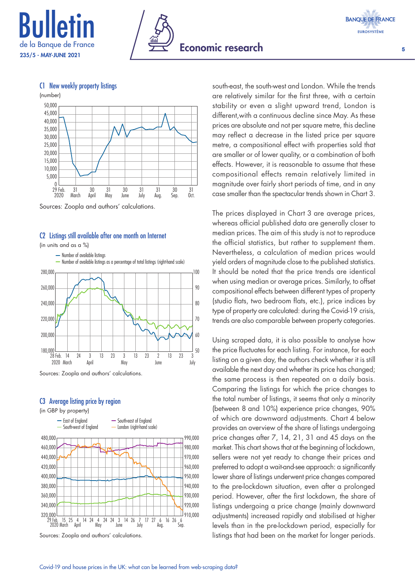









Sources: Zoopla and authors' calculations.

#### C2 Listings still available after one month on Internet

(in units and as a %)



Sources: Zoopla and authors' calculations.

#### C3 Average listing price by region

(in GBP by property)



Sources: Zoopla and authors' calculations.

south-east, the south-west and London. While the trends are relatively similar for the first three, with a certain stability or even a slight upward trend, London is different,with a continuous decline since May. As these prices are absolute and not per square metre, this decline may reflect a decrease in the listed price per square metre, a compositional effect with properties sold that are smaller or of lower quality, or a combination of both effects. However, it is reasonable to assume that these compositional effects remain relatively limited in magnitude over fairly short periods of time, and in any case smaller than the spectacular trends shown in Chart 3.

The prices displayed in Chart 3 are average prices, whereas official published data are generally closer to median prices. The aim of this study is not to reproduce the official statistics, but rather to supplement them. Nevertheless, a calculation of median prices would yield orders of magnitude close to the published statistics. It should be noted that the price trends are identical when using median or average prices. Similarly, to offset compositional effects between different types of property (studio flats, two bedroom flats, etc.), price indices by type of property are calculated: during the Covid-19 crisis, trends are also comparable between property categories.

Using scraped data, it is also possible to analyse how the price fluctuates for each listing. For instance, for each listing on a given day, the authors check whether it is still available the next day and whether its price has changed; the same process is then repeated on a daily basis. Comparing the listings for which the price changes to the total number of listings, it seems that only a minority (between 8 and 10%) experience price changes, 90% of which are downward adjustments. Chart 4 below provides an overview of the share of listings undergoing price changes after 7, 14, 21, 31 and 45 days on the market. This chart shows that at the beginning of lockdown, sellers were not yet ready to change their prices and preferred to adopt a wait-and-see approach: a significantly lower share of listings underwent price changes compared to the pre-lockdown situation, even after a prolonged period. However, after the first lockdown, the share of listings undergoing a price change (mainly downward adjustments) increased rapidly and stabilised at higher levels than in the pre-lockdown period, especially for listings that had been on the market for longer periods.

5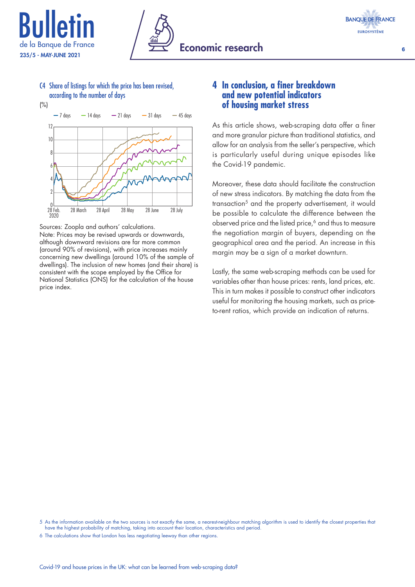





6

C4 Share of listings for which the price has been revised, according to the number of days

(%)



Sources: Zoopla and authors' calculations.

Note: Prices may be revised upwards or downwards, although downward revisions are far more common (around 90% of revisions), with price increases mainly concerning new dwellings (around 10% of the sample of dwellings). The inclusion of new homes (and their share) is consistent with the scope employed by the Office for National Statistics (ONS) for the calculation of the house price index.

## **4 In conclusion, a finer breakdown and new potential indicators of housing market stress**

As this article shows, web-scraping data offer a finer and more granular picture than traditional statistics, and allow for an analysis from the seller's perspective, which is particularly useful during unique episodes like the Covid-19 pandemic.

Moreover, these data should facilitate the construction of new stress indicators. By matching the data from the transaction5 and the property advertisement, it would be possible to calculate the difference between the observed price and the listed price,<sup>6</sup> and thus to measure the negotiation margin of buyers, depending on the geographical area and the period. An increase in this margin may be a sign of a market downturn.

Lastly, the same web-scraping methods can be used for variables other than house prices: rents, land prices, etc. This in turn makes it possible to construct other indicators useful for monitoring the housing markets, such as priceto-rent ratios, which provide an indication of returns.

<sup>5</sup> As the information available on the two sources is not exactly the same, a nearest-neighbour matching algorithm is used to identify the closest properties that have the highest probability of matching, taking into account their location, characteristics and period

<sup>6</sup> The calculations show that London has less negotiating leeway than other regions.